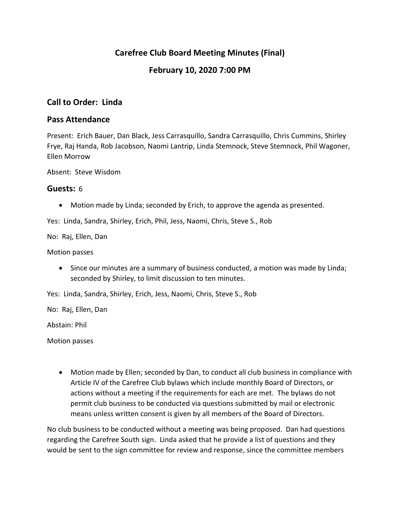## **Carefree Club Board Meeting Minutes (Final)**

### **February 10, 2020 7:00 PM**

### **Call to Order: Linda**

#### **Pass Attendance**

Present: Erich Bauer, Dan Black, Jess Carrasquillo, Sandra Carrasquillo, Chris Cummins, Shirley Frye, Raj Handa, Rob Jacobson, Naomi Lantrip, Linda Stemnock, Steve Stemnock, Phil Wagoner, Ellen Morrow

Absent: Steve Wisdom

#### **Guests:** 6

Motion made by Linda; seconded by Erich, to approve the agenda as presented.

Yes: Linda, Sandra, Shirley, Erich, Phil, Jess, Naomi, Chris, Steve S., Rob

No: Raj, Ellen, Dan

Motion passes

• Since our minutes are a summary of business conducted, a motion was made by Linda; seconded by Shirley, to limit discussion to ten minutes.

Yes: Linda, Sandra, Shirley, Erich, Jess, Naomi, Chris, Steve S., Rob

No: Raj, Ellen, Dan

Abstain: Phil

Motion passes

 Motion made by Ellen; seconded by Dan, to conduct all club business in compliance with Article IV of the Carefree Club bylaws which include monthly Board of Directors, or actions without a meeting if the requirements for each are met. The bylaws do not permit club business to be conducted via questions submitted by mail or electronic means unless written consent is given by all members of the Board of Directors.

No club business to be conducted without a meeting was being proposed. Dan had questions regarding the Carefree South sign. Linda asked that he provide a list of questions and they would be sent to the sign committee for review and response, since the committee members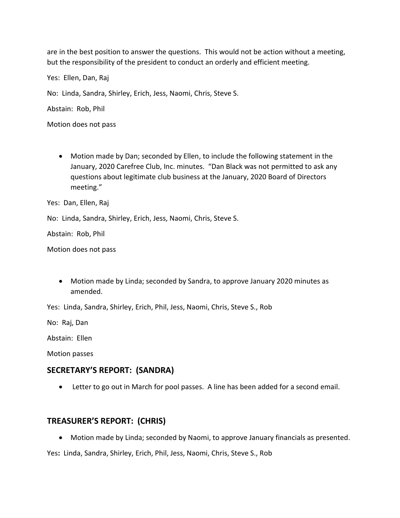are in the best position to answer the questions. This would not be action without a meeting, but the responsibility of the president to conduct an orderly and efficient meeting.

Yes: Ellen, Dan, Raj

No: Linda, Sandra, Shirley, Erich, Jess, Naomi, Chris, Steve S.

Abstain: Rob, Phil

Motion does not pass

 Motion made by Dan; seconded by Ellen, to include the following statement in the January, 2020 Carefree Club, Inc. minutes. "Dan Black was not permitted to ask any questions about legitimate club business at the January, 2020 Board of Directors meeting."

Yes: Dan, Ellen, Raj

No: Linda, Sandra, Shirley, Erich, Jess, Naomi, Chris, Steve S.

Abstain: Rob, Phil

Motion does not pass

 Motion made by Linda; seconded by Sandra, to approve January 2020 minutes as amended.

Yes: Linda, Sandra, Shirley, Erich, Phil, Jess, Naomi, Chris, Steve S., Rob

No: Raj, Dan

Abstain: Ellen

Motion passes

#### **SECRETARY'S REPORT: (SANDRA)**

Letter to go out in March for pool passes. A line has been added for a second email.

### **TREASURER'S REPORT: (CHRIS)**

Motion made by Linda; seconded by Naomi, to approve January financials as presented.

Yes**:** Linda, Sandra, Shirley, Erich, Phil, Jess, Naomi, Chris, Steve S., Rob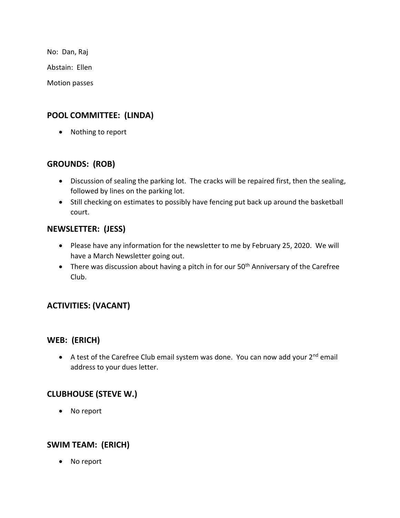No: Dan, Raj

Abstain: Ellen

Motion passes

## **POOL COMMITTEE: (LINDA)**

• Nothing to report

## **GROUNDS: (ROB)**

- Discussion of sealing the parking lot. The cracks will be repaired first, then the sealing, followed by lines on the parking lot.
- Still checking on estimates to possibly have fencing put back up around the basketball court.

### **NEWSLETTER: (JESS)**

- Please have any information for the newsletter to me by February 25, 2020. We will have a March Newsletter going out.
- There was discussion about having a pitch in for our  $50<sup>th</sup>$  Anniversary of the Carefree Club.

# **ACTIVITIES: (VACANT)**

### **WEB: (ERICH)**

A test of the Carefree Club email system was done. You can now add your 2<sup>nd</sup> email address to your dues letter.

## **CLUBHOUSE (STEVE W.)**

No report

## **SWIM TEAM: (ERICH)**

No report